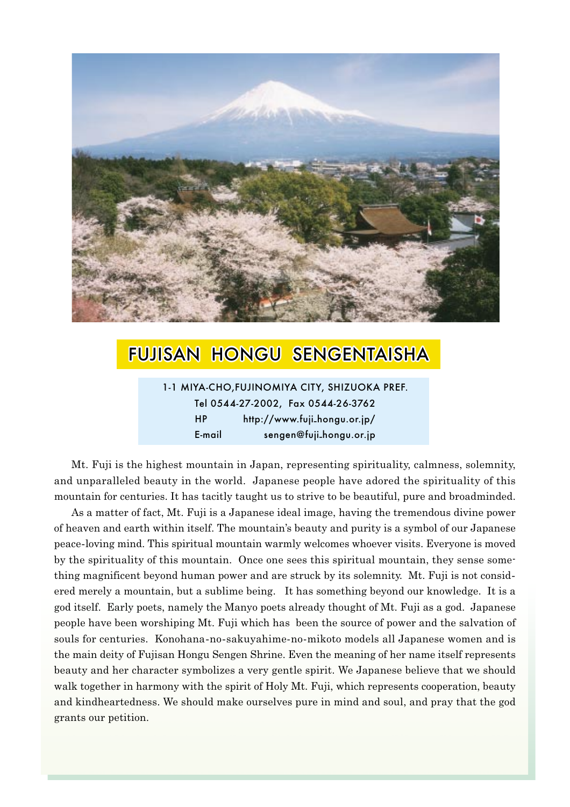

# **FUJISAN HONGU SENGENTAISHA**

1-1 MIYA-CHO, FUJINOMIYA CITY, SHIZUOKA PREF. Tel 0544-27-2002, Fax 0544-26-3762  $HP$ http://www.fuji\_hongu.or.jp/ E-mail sengen@fuji\_hongu.or.jp

Mt. Fuji is the highest mountain in Japan, representing spirituality, calmness, solemnity, and unparalleled beauty in the world. Japanese people have adored the spirituality of this mountain for centuries. It has tacitly taught us to strive to be beautiful, pure and broadminded.

As a matter of fact, Mt. Fuji is a Japanese ideal image, having the tremendous divine power of heaven and earth within itself. The mountain's beauty and purity is a symbol of our Japanese peace-loving mind. This spiritual mountain warmly welcomes whoever visits. Everyone is moved by the spirituality of this mountain. Once one sees this spiritual mountain, they sense something magnificent beyond human power and are struck by its solemnity. Mt. Fuji is not considered merely a mountain, but a sublime being. It has something beyond our knowledge. It is a god itself. Early poets, namely the Manyo poets already thought of Mt. Fuji as a god. Japanese people have been worshiping Mt. Fuji which has been the source of power and the salvation of souls for centuries. Konohana-no-sakuyahime-no-mikoto models all Japanese women and is the main deity of Fujisan Hongu Sengen Shrine. Even the meaning of her name itself represents beauty and her character symbolizes a very gentle spirit. We Japanese believe that we should walk together in harmony with the spirit of Holy Mt. Fuji, which represents cooperation, beauty and kindheartedness. We should make ourselves pure in mind and soul, and pray that the god grants our petition.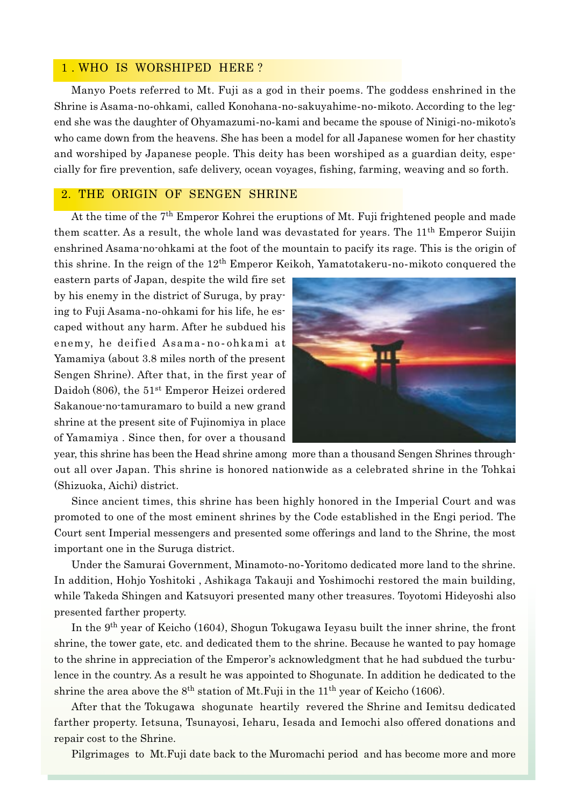### 1. WHO IS WORSHIPED HERE?

Manyo Poets referred to Mt. Fuji as a god in their poems. The goddess enshrined in the Shrine is Asama-no-ohkami, called Konohana-no-sakuyahime-no-mikoto. According to the legend she was the daughter of Ohyamazumi-no-kami and became the spouse of Ninigi-no-mikoto's who came down from the heavens. She has been a model for all Japanese women for her chastity and worshiped by Japanese people. This deity has been worshiped as a guardian deity, especially for fire prevention, safe delivery, ocean voyages, fishing, farming, weaving and so forth.

### 2. THE ORIGIN OF SENGEN SHRINE

At the time of the 7<sup>th</sup> Emperor Kohrei the eruptions of Mt. Fuji frightened people and made them scatter. As a result, the whole land was devastated for years. The 11<sup>th</sup> Emperor Suijin enshrined Asama-no-ohkami at the foot of the mountain to pacify its rage. This is the origin of this shrine. In the reign of the 12<sup>th</sup> Emperor Keikoh, Yamatotakeru-no-mikoto conquered the

eastern parts of Japan, despite the wild fire set by his enemy in the district of Suruga, by praying to Fuji Asama-no-ohkami for his life, he escaped without any harm. After he subdued his enemy, he deified Asama-no-ohkami at Yamamiya (about 3.8 miles north of the present Sengen Shrine). After that, in the first year of Daidoh (806), the 51<sup>st</sup> Emperor Heizei ordered Sakanoue-no-tamuramaro to build a new grand shrine at the present site of Fujinomiya in place of Yamamiya. Since then, for over a thousand



year, this shrine has been the Head shrine among more than a thousand Sengen Shrines throughout all over Japan. This shrine is honored nationwide as a celebrated shrine in the Tohkai (Shizuoka, Aichi) district.

Since ancient times, this shrine has been highly honored in the Imperial Court and was promoted to one of the most eminent shrines by the Code established in the Engi period. The Court sent Imperial messengers and presented some offerings and land to the Shrine, the most important one in the Suruga district.

Under the Samurai Government, Minamoto-no-Yoritomo dedicated more land to the shrine. In addition, Hohjo Yoshitoki, Ashikaga Takauji and Yoshimochi restored the main building, while Takeda Shingen and Katsuyori presented many other treasures. Toyotomi Hideyoshi also presented farther property.

In the 9<sup>th</sup> year of Keicho (1604), Shogun Tokugawa Ieyasu built the inner shrine, the front shrine, the tower gate, etc. and dedicated them to the shrine. Because he wanted to pay homage to the shrine in appreciation of the Emperor's acknowledgment that he had subdued the turbulence in the country. As a result he was appointed to Shogunate. In addition he dedicated to the shrine the area above the  $8<sup>th</sup>$  station of Mt. Fuji in the  $11<sup>th</sup>$  year of Keicho (1606).

After that the Tokugawa shogunate heartily revered the Shrine and Iemitsu dedicated farther property. Ietsuna, Tsunayosi, Ieharu, Iesada and Iemochi also offered donations and repair cost to the Shrine.

Pilgrimages to Mt. Fuji date back to the Muromachi period and has become more and more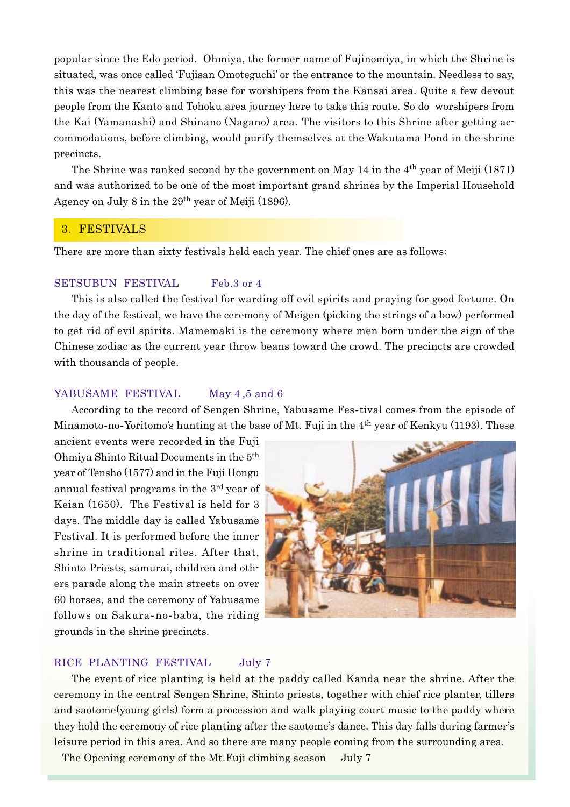popular since the Edo period. Ohmiya, the former name of Fujinomiya, in which the Shrine is situated, was once called 'Fujisan Omoteguchi' or the entrance to the mountain. Needless to say, this was the nearest climbing base for worshipers from the Kansai area. Quite a few devout people from the Kanto and Tohoku area journey here to take this route. So do worshipers from the Kai (Yamanashi) and Shinano (Nagano) area. The visitors to this Shrine after getting accommodations, before climbing, would purify themselves at the Wakutama Pond in the shrine precincts.

The Shrine was ranked second by the government on May 14 in the 4<sup>th</sup> year of Meiji (1871) and was authorized to be one of the most important grand shrines by the Imperial Household Agency on July 8 in the 29<sup>th</sup> year of Meiji (1896).

### 3. FESTIVALS

There are more than sixty festivals held each year. The chief ones are as follows:

#### **SETSUBUN FESTIVAL** Feb.3 or 4

This is also called the festival for warding off evil spirits and praying for good fortune. On the day of the festival, we have the ceremony of Meigen (picking the strings of a bow) performed to get rid of evil spirits. Mamemaki is the ceremony where men born under the sign of the Chinese zodiac as the current year throw beans toward the crowd. The precincts are crowded with thousands of people.

#### YABUSAME FESTIVAL May 4,5 and 6

According to the record of Sengen Shrine, Yabusame Fes-tival comes from the episode of Minamoto-no-Yoritomo's hunting at the base of Mt. Fuji in the 4<sup>th</sup> year of Kenkyu (1193). These

ancient events were recorded in the Fuji Ohmiya Shinto Ritual Documents in the 5<sup>th</sup> year of Tensho (1577) and in the Fuji Hongu annual festival programs in the 3<sup>rd</sup> vear of Keian (1650). The Festival is held for 3 days. The middle day is called Yabusame Festival. It is performed before the inner shrine in traditional rites. After that, Shinto Priests, samurai, children and others parade along the main streets on over 60 horses, and the ceremony of Yabusame follows on Sakura-no-baba, the riding grounds in the shrine precincts.



#### RICE PLANTING FESTIVAL July 7

The event of rice planting is held at the paddy called Kanda near the shrine. After the ceremony in the central Sengen Shrine, Shinto priests, together with chief rice planter, tillers and saotome (young girls) form a procession and walk playing court music to the paddy where they hold the ceremony of rice planting after the saotome's dance. This day falls during farmer's leisure period in this area. And so there are many people coming from the surrounding area.

The Opening ceremony of the Mt. Fuji climbing season July 7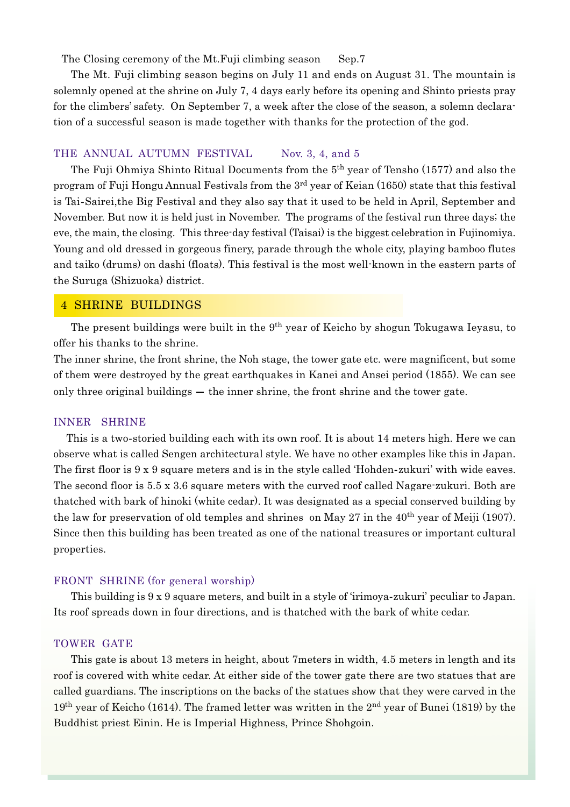The Closing ceremony of the Mt. Fuji climbing season Sep.7

The Mt. Fuji climbing season begins on July 11 and ends on August 31. The mountain is solemnly opened at the shrine on July 7, 4 days early before its opening and Shinto priests pray for the climbers' safety. On September 7, a week after the close of the season, a solemn declaration of a successful season is made together with thanks for the protection of the god.

#### THE ANNUAL AUTUMN FESTIVAL Nov. 3, 4, and 5

The Fuji Ohmiya Shinto Ritual Documents from the 5<sup>th</sup> year of Tensho (1577) and also the program of Fuji Hongu Annual Festivals from the 3<sup>rd</sup> year of Keian (1650) state that this festival is Tai-Sairei, the Big Festival and they also say that it used to be held in April, September and November. But now it is held just in November. The programs of the festival run three days; the eve, the main, the closing. This three-day festival (Taisai) is the biggest celebration in Fujinomiya. Young and old dressed in gorgeous finery, parade through the whole city, playing bamboo flutes and taiko (drums) on dashi (floats). This festival is the most well-known in the eastern parts of the Suruga (Shizuoka) district.

### **4 SHRINE BUILDINGS**

The present buildings were built in the 9<sup>th</sup> year of Keicho by shogun Tokugawa Ieyasu, to offer his thanks to the shrine.

The inner shrine, the front shrine, the Noh stage, the tower gate etc. were magnificent, but some of them were destroyed by the great earthquakes in Kanei and Ansei period (1855). We can see only three original buildings  $-$  the inner shrine, the front shrine and the tower gate.

#### **INNER SHRINE**

This is a two-storied building each with its own roof. It is about 14 meters high. Here we can observe what is called Sengen architectural style. We have no other examples like this in Japan. The first floor is 9 x 9 square meters and is in the style called 'Hohden-zukuri' with wide eaves. The second floor is 5.5 x 3.6 square meters with the curved roof called Nagare-zukuri. Both are thatched with bark of hinoki (white cedar). It was designated as a special conserved building by the law for preservation of old temples and shrines on May 27 in the  $40<sup>th</sup>$  year of Meiji (1907). Since then this building has been treated as one of the national treasures or important cultural properties.

#### FRONT SHRINE (for general worship)

This building is 9 x 9 square meters, and built in a style of 'irimoya-zukuri' peculiar to Japan. Its roof spreads down in four directions, and is thatched with the bark of white cedar.

#### TOWER GATE

This gate is about 13 meters in height, about 7 meters in width, 4.5 meters in length and its roof is covered with white cedar. At either side of the tower gate there are two statues that are called guardians. The inscriptions on the backs of the statues show that they were carved in the 19<sup>th</sup> year of Keicho (1614). The framed letter was written in the 2<sup>nd</sup> year of Bunei (1819) by the Buddhist priest Einin. He is Imperial Highness, Prince Shohgoin.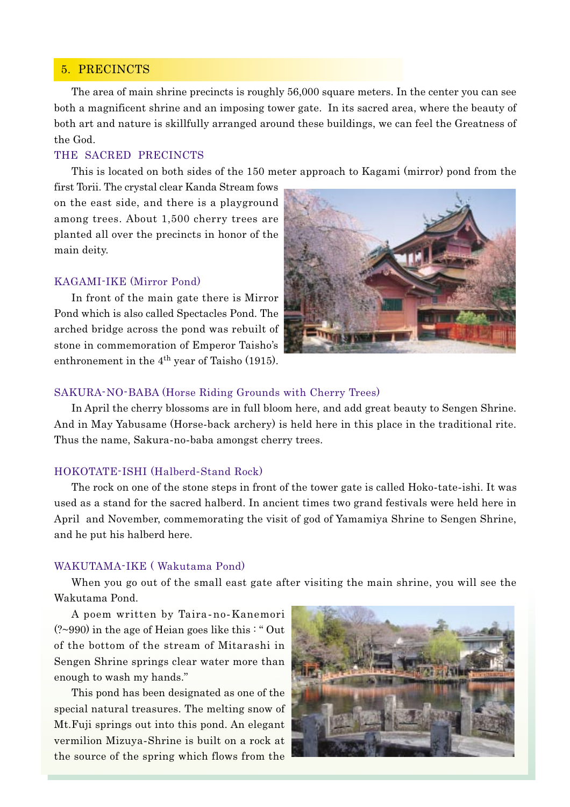## 5. PRECINCTS

The area of main shrine precincts is roughly 56,000 square meters. In the center you can see both a magnificent shrine and an imposing tower gate. In its sacred area, where the beauty of both art and nature is skillfully arranged around these buildings, we can feel the Greatness of the God.

### THE SACRED PRECINCTS

This is located on both sides of the 150 meter approach to Kagami (mirror) pond from the

first Torii. The crystal clear Kanda Stream fows on the east side, and there is a playground among trees. About 1,500 cherry trees are planted all over the precincts in honor of the main deity.

#### KAGAMI-IKE (Mirror Pond)

In front of the main gate there is Mirror Pond which is also called Spectacles Pond. The arched bridge across the pond was rebuilt of stone in commemoration of Emperor Taisho's enthronement in the  $4<sup>th</sup>$  year of Taisho (1915).



#### SAKURA-NO-BABA (Horse Riding Grounds with Cherry Trees)

In April the cherry blossoms are in full bloom here, and add great beauty to Sengen Shrine. And in May Yabusame (Horse-back archery) is held here in this place in the traditional rite. Thus the name, Sakura-no-baba amongst cherry trees.

#### HOKOTATE-ISHI (Halberd-Stand Rock)

The rock on one of the stone steps in front of the tower gate is called Hoko-tate-ishi. It was used as a stand for the sacred halberd. In ancient times two grand festivals were held here in April and November, commemorating the visit of god of Yamamiya Shrine to Sengen Shrine, and he put his halberd here.

#### WAKUTAMA-IKE (Wakutama Pond)

When you go out of the small east gate after visiting the main shrine, you will see the Wakutama Pond.

A poem written by Taira-no-Kanemori (?~990) in the age of Heian goes like this: "Out of the bottom of the stream of Mitarashi in Sengen Shrine springs clear water more than enough to wash my hands."

This pond has been designated as one of the special natural treasures. The melting snow of Mt. Fuji springs out into this pond. An elegant vermilion Mizuya-Shrine is built on a rock at the source of the spring which flows from the